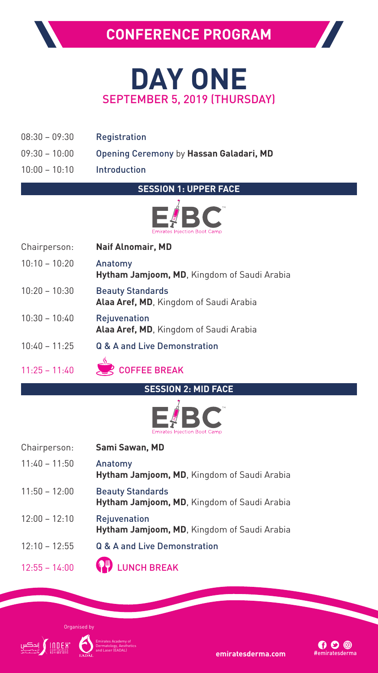

Emirates Academy of Dermatology, Aesthetics

and **Laser (EADAL)**<br>**emiratesderma.com** #emiratesderma



Chairperson: **Naif Alnomair, MD** 10:10 – 10:20 Anatomy **Hytham Jamjoom, MD**, Kingdom of Saudi Arabia 10:20 – 10:30 Beauty Standards **Alaa Aref, MD**, Kingdom of Saudi Arabia 10:30 – 10:40 Rejuvenation **Alaa Aref, MD**, Kingdom of Saudi Arabia 10:40 – 11:25 Q & A and Live Demonstration 11:25 – 11:40 **COFFEE BREAK** 



- 08:30 09:30 Registration
- 09:30 10:00 Opening Ceremony by **Hassan Galadari, MD**
- 10:00 10:10 Introduction

**SESSION 1: UPPER FACE** 



**SESSION 2: MID FACE**



| Chairperson:    | Sami Sawan, MD                                                         |
|-----------------|------------------------------------------------------------------------|
| $11:40 - 11:50$ | Anatomy<br>Hytham Jamjoom, MD, Kingdom of Saudi Arabia                 |
| $11:50 - 12:00$ | <b>Beauty Standards</b><br>Hytham Jamjoom, MD, Kingdom of Saudi Arabia |
| $12:00 - 12:10$ | <b>Rejuvenation</b>                                                    |

**Hytham Jamjoom, MD**, Kingdom of Saudi Arabia

12:10 – 12:55 Q & A and Live Demonstration

## 12:55 – 14:00 **CP** LUNCH BREAK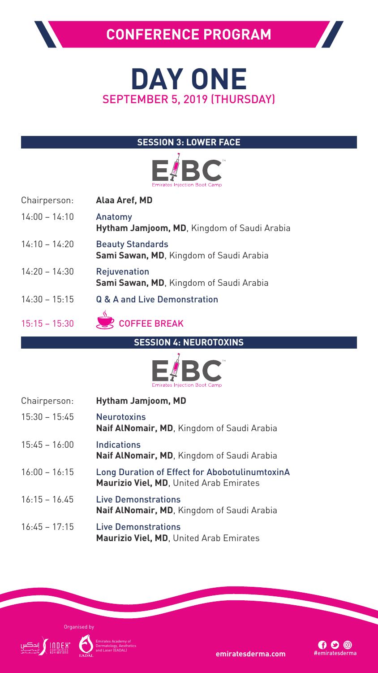

Emirates Academy of Dermatology, Aesthetics

and **Laser (EADAL)**<br>**emiratesderma.com** #emiratesderma

### **SESSION 3: LOWER FACE**



- Chairperson: **Alaa Aref, MD**
- 14:00 14:10 Anatomy **Hytham Jamjoom, MD**, Kingdom of Saudi Arabia
- 14:10 14:20 Beauty Standards **Sami Sawan, MD**, Kingdom of Saudi Arabia
- 14:20 14:30 Rejuvenation **Sami Sawan, MD**, Kingdom of Saudi Arabia
- 14:30 15:15 Q & A and Live Demonstration





**SESSION 4: NEUROTOXINS**



Chairperson: **Hytham Jamjoom, MD** 15:30 – 15:45 Neurotoxins **Naif AlNomair, MD**, Kingdom of Saudi Arabia 15:45 – 16:00 Indications **Naif AlNomair, MD**, Kingdom of Saudi Arabia 16:00 – 16:15 Long Duration of Effect for AbobotulinumtoxinA **Maurizio Viel, MD**, United Arab Emirates 16:15 – 16.45 Live Demonstrations **Naif AlNomair, MD**, Kingdom of Saudi Arabia 16:45 – 17:15 Live Demonstrations

## **Maurizio Viel, MD**, United Arab Emirates



## **CONFERENCE PROGRAM**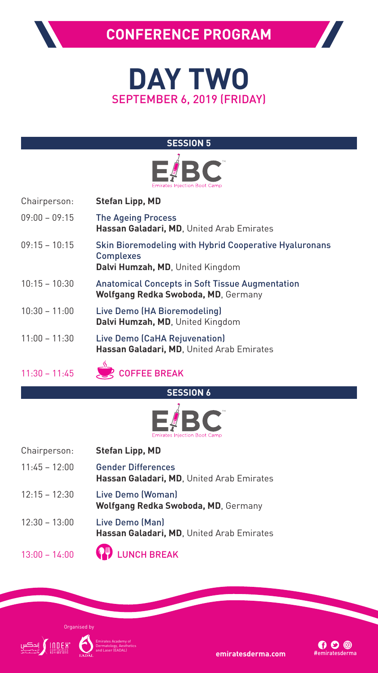



Emirates Academy of Dermatology, Aesthetics

and **Laser (EADAL)**<br>**emiratesderma.com** #emiratesderma



## **CONFERENCE PROGRAM**

### **SESSION 5**



- Chairperson: **Stefan Lipp, MD**
- 09:00 09:15 The Ageing Process **Hassan Galadari, MD**, United Arab Emirates
- 09:15 10:15 Skin Bioremodeling with Hybrid Cooperative Hyaluronans Complexes **Dalvi Humzah, MD**, United Kingdom
- 10:15 10:30 Anatomical Concepts in Soft Tissue Augmentation **Wolfgang Redka Swoboda, MD**, Germany
- 10:30 11:00 Live Demo (HA Bioremodeling) **Dalvi Humzah, MD**, United Kingdom
- 11:00 11:30 Live Demo (CaHA Rejuvenation) **Hassan Galadari, MD**, United Arab Emirates



## 11:30 – 11:45 **COFFEE BREAK**

### **SESSION 6**



| Chairperson:    | <b>Stefan Lipp, MD</b>                                                 |
|-----------------|------------------------------------------------------------------------|
| $11:45 - 12:00$ | <b>Gender Differences</b><br>Hassan Galadari, MD, United Arab Emirates |
| $12:15 - 12:30$ | Live Demo (Woman)<br><b>Wolfgang Redka Swoboda, MD, Germany</b>        |
| $12:30 - 13:00$ | Live Demo (Man)                                                        |

**Hassan Galadari, MD**, United Arab Emirates

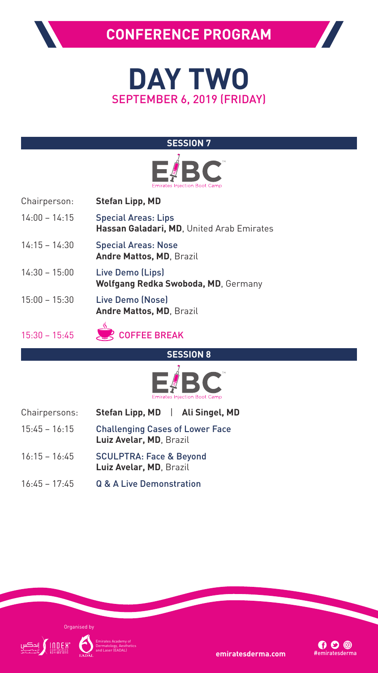

Emirates Academy of Dermatology, Aesthetics

and **Laser (EADA)**<br>**emiratesderma.com** #emiratesderma

### **SESSION 7**



- Chairperson: **Stefan Lipp, MD**
- 14:00 14:15 Special Areas: Lips **Hassan Galadari, MD**, United Arab Emirates
- 14:15 14:30 Special Areas: Nose **Andre Mattos, MD**, Brazil
- 14:30 15:00 Live Demo (Lips) **Wolfgang Redka Swoboda, MD**, Germany
- 15:00 15:30 Live Demo (Nose) **Andre Mattos, MD**, Brazil
- 



**SESSION 8**



- Chairpersons: **Stefan Lipp, MD** | **Ali Singel, MD**
- 15:45 16:15 Challenging Cases of Lower Face **Luiz Avelar, MD**, Brazil
- 16:15 16:45 SCULPTRA: Face & Beyond **Luiz Avelar, MD**, Brazil
- 16:45 17:45 Q & A Live Demonstration



## **CONFERENCE PROGRAM**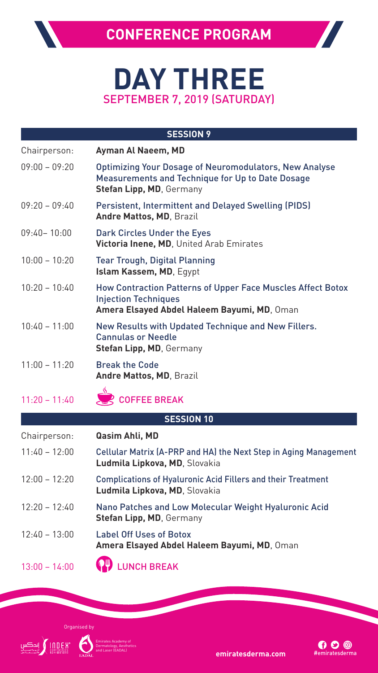

Emirates Academy of Dermatology, Aesthetics

**emiratesderma.com** #emiratesderma.com

# **DAY THREE** SEPTEMBER 7, 2019 (SATURDAY)

**CONFERENCE PROGRAM**

12:40 – 13:00 Label Off Uses of Botox **Amera Elsayed Abdel Haleem Bayumi, MD**, Oman 13:00 – 14:00 **CP** LUNCH BREAK

|                   | <b>SESSION 9</b>                                                                                                                                            |  |
|-------------------|-------------------------------------------------------------------------------------------------------------------------------------------------------------|--|
| Chairperson:      | Ayman Al Naeem, MD                                                                                                                                          |  |
| $09:00 - 09:20$   | <b>Optimizing Your Dosage of Neuromodulators, New Analyse</b><br><b>Measurements and Technique for Up to Date Dosage</b><br><b>Stefan Lipp, MD, Germany</b> |  |
| $09:20 - 09:40$   | <b>Persistent, Intermittent and Delayed Swelling (PIDS)</b><br><b>Andre Mattos, MD, Brazil</b>                                                              |  |
| $09:40 - 10:00$   | <b>Dark Circles Under the Eyes</b><br>Victoria Inene, MD, United Arab Emirates                                                                              |  |
| $10:00 - 10:20$   | <b>Tear Trough, Digital Planning</b><br>Islam Kassem, MD, Egypt                                                                                             |  |
| $10:20 - 10:40$   | <b>How Contraction Patterns of Upper Face Muscles Affect Botox</b><br><b>Injection Techniques</b><br>Amera Elsayed Abdel Haleem Bayumi, MD, Oman            |  |
| $10:40 - 11:00$   | New Results with Updated Technique and New Fillers.<br><b>Cannulas or Needle</b><br><b>Stefan Lipp, MD, Germany</b>                                         |  |
| $11:00 - 11:20$   | <b>Break the Code</b><br><b>Andre Mattos, MD, Brazil</b>                                                                                                    |  |
| $11:20 - 11:40$   | $\mathcal{L}$<br><b>COFFEE BREAK</b>                                                                                                                        |  |
| <b>SESSION 10</b> |                                                                                                                                                             |  |
| Chairperson:      | Qasim Ahli, MD                                                                                                                                              |  |
| $11:40 - 12:00$   | Cellular Matrix (A-PRP and HA) the Next Step in Aging Management<br>Ludmila Lipkova, MD, Slovakia                                                           |  |
| $12:00 - 12:20$   | <b>Complications of Hyaluronic Acid Fillers and their Treatment</b><br>Ludmila Lipkova, MD, Slovakia                                                        |  |
| $12:20 - 12:40$   | Nano Patches and Low Molecular Weight Hyaluronic Acid<br><b>Stefan Lipp, MD, Germany</b>                                                                    |  |